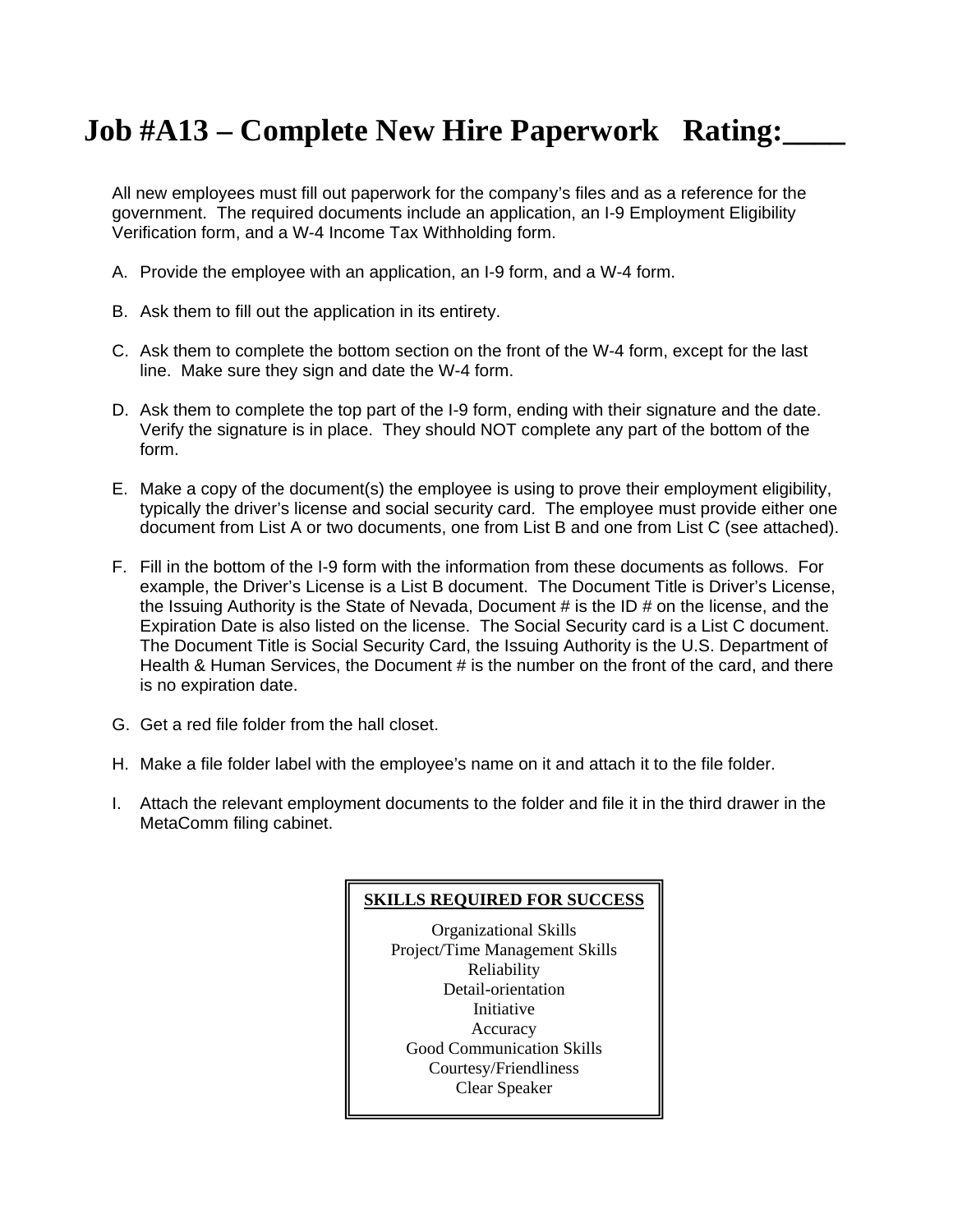## **Job #A13 – Complete New Hire Paperwork Rating:\_\_\_\_**

All new employees must fill out paperwork for the company's files and as a reference for the government. The required documents include an application, an I-9 Employment Eligibility Verification form, and a W-4 Income Tax Withholding form.

- A. Provide the employee with an application, an I-9 form, and a W-4 form.
- B. Ask them to fill out the application in its entirety.
- C. Ask them to complete the bottom section on the front of the W-4 form, except for the last line. Make sure they sign and date the W-4 form.
- D. Ask them to complete the top part of the I-9 form, ending with their signature and the date. Verify the signature is in place. They should NOT complete any part of the bottom of the form.
- E. Make a copy of the document(s) the employee is using to prove their employment eligibility, typically the driver's license and social security card. The employee must provide either one document from List A or two documents, one from List B and one from List C (see attached).
- F. Fill in the bottom of the I-9 form with the information from these documents as follows. For example, the Driver's License is a List B document. The Document Title is Driver's License, the Issuing Authority is the State of Nevada, Document # is the ID # on the license, and the Expiration Date is also listed on the license. The Social Security card is a List C document. The Document Title is Social Security Card, the Issuing Authority is the U.S. Department of Health & Human Services, the Document # is the number on the front of the card, and there is no expiration date.
- G. Get a red file folder from the hall closet.
- H. Make a file folder label with the employee's name on it and attach it to the file folder.
- I. Attach the relevant employment documents to the folder and file it in the third drawer in the MetaComm filing cabinet.

### **SKILLS REQUIRED FOR SUCCESS**

Organizational Skills Project/Time Management Skills Reliability Detail-orientation Initiative Accuracy Good Communication Skills Courtesy/Friendliness Clear Speaker